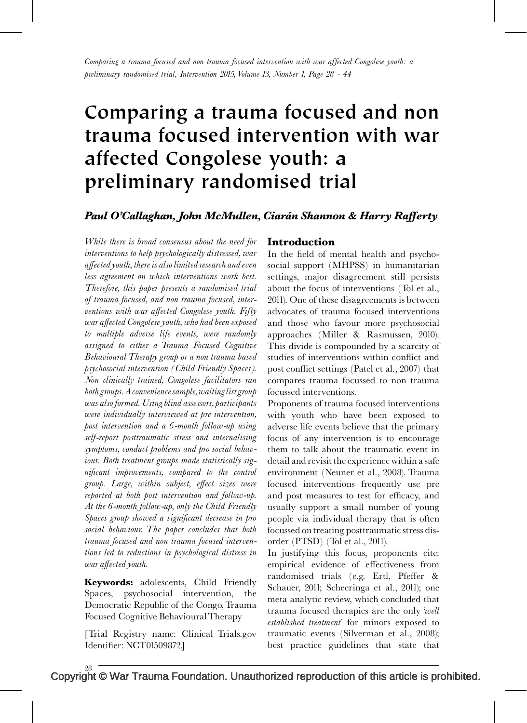# Comparing a trauma focused and non trauma focused intervention with war affected Congolese youth: a preliminary randomised trial

# Paul O'Callaghan, John McMullen, Ciarán Shannon & Harry Rafferty

While there is broad consensus about the need for interventions to help psychologically distressed, war affected youth, there is also limited research and even less agreement on which interventions work best. Therefore, this paper presents a randomised trial of trauma focused, and non trauma focused, interventions with war affected Congolese youth. Fifty war affected Congolese youth, who had been exposed to multiple adverse life events, were randomly assigned to either a Trauma Focused Cognitive Behavioural Therapy group or a non trauma based psychosocial intervention (Child Friendly Spaces). Non clinically trained, Congolese facilitators ran both groups. A convenience sample, waiting list group was also formed. Using blind assessors, participants were individually interviewed at pre intervention, post intervention and a 6-month follow-up using self-report posttraumatic stress and internalising symptoms, conduct problems and pro social behaviour. Both treatment groups made statistically significant improvements, compared to the control group. Large, within subject, effect sizes were reported at both post intervention and follow-up. At the 6-month follow-up, only the Child Friendly Spaces group showed a significant decrease in pro social behaviour. The paper concludes that both trauma focused and non trauma focused interventions led to reductions in psychological distress in war affected youth.

Keywords: adolescents, Child Friendly Spaces, psychosocial intervention, the Democratic Republic of the Congo, Trauma Focused Cognitive BehaviouralTherapy

[Trial Registry name: Clinical Trials.gov Identi¢er: NCT01509872.]

## Introduction

In the field of mental health and psychosocial support (MHPSS) in humanitarian settings, major disagreement still persists about the focus of interventions ([Tol et al.,](#page-16-0) [2011\)](#page-16-0). One of these disagreements is between advocates of trauma focused interventions and those who favour more psychosocial approaches ([Miller & Rasmussen, 2010\)](#page-15-0). This divide is compounded by a scarcity of studies of interventions within conflict and post conflict settings [\(Patel et al., 2007\)](#page-15-0) that compares trauma focussed to non trauma focussed interventions.

Proponents of trauma focused interventions with youth who have been exposed to adverse life events believe that the primary focus of any intervention is to encourage them to talk about the traumatic event in detail and revisit the experience within a safe environment [\(Neuner et al., 2008\)](#page-15-0). Trauma focused interventions frequently use pre and post measures to test for efficacy, and usually support a small number of young people via individual therapy that is often focussed on treating posttraumatic stress disorder (PTSD) ([Tol et al., 2011\)](#page-16-0).

In justifying this focus, proponents cite: empirical evidence of effectiveness from randomised trials (e.g. Ertl, Pfeffer & [Schauer, 2011;](#page-15-0) [Scheeringa et al., 2011\)](#page-16-0); one meta analytic review, which concluded that trauma focused therapies are the only 'well established treatment' for minors exposed to traumatic events ([Silverman et al., 2008\)](#page-16-0); best practice guidelines that state that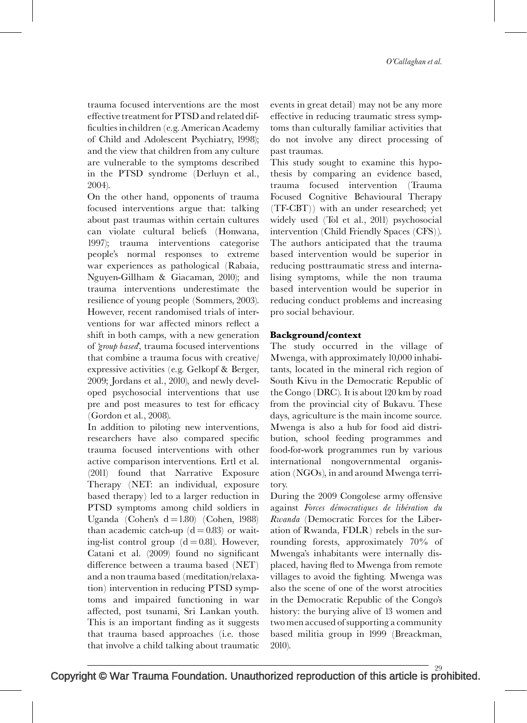trauma focused interventions are the most effective treatment for PTSD and related difficulties in children ([e.g. American Academy](#page-14-0) [of Child and Adolescent Psychiatry, 1998\)](#page-14-0); and the view that children from any culture are vulnerable to the symptoms described in the PTSD syndrome ([Derluyn et al.,](#page-15-0) [2004\)](#page-15-0).

On the other hand, opponents of trauma focused interventions argue that: talking about past traumas within certain cultures can violate cultural beliefs ([Honwana,](#page-15-0) [1997\)](#page-15-0); trauma interventions categorise people's normal responses to extreme war experiences as pathological ([Rabaia,](#page-15-0) [Nguyen-Gillham & Giacaman, 2010\)](#page-15-0); and trauma interventions underestimate the resilience of young people [\(Sommers, 2003\)](#page-16-0). However, recent randomised trials of interventions for war affected minors reflect a shift in both camps, with a new generation of 'group based', trauma focused interventions that combine a trauma focus with creative/ expressive activities (e.g. [Gelkopf & Berger,](#page-15-0) [2009; Jordans et al., 2010\)](#page-15-0), and newly developed psychosocial interventions that use pre and post measures to test for efficacy ([Gordon et al., 2008\)](#page-15-0).

In addition to piloting new interventions, researchers have also compared specific trauma focused interventions with other active comparison interventions. [Ertl et al.](#page-15-0) [\(2011\)](#page-15-0) found that Narrative Exposure Therapy (NET: an individual, exposure based therapy) led to a larger reduction in PTSD symptoms among child soldiers in Uganda (Cohen's  $d = 1.80$ ) ([Cohen, 1988\)](#page-14-0) than academic catch-up  $(d = 0.83)$  or waiting-list control group  $(d = 0.81)$ . However, Catani et al.  $(2009)$  found no significant difference between a trauma based (NET) and a non trauma based (meditation/relaxation) intervention in reducing PTSD symptoms and impaired functioning in war affected, post tsunami, Sri Lankan youth. This is an important finding as it suggests that trauma based approaches (i.e. those that involve a child talking about traumatic

events in great detail) may not be any more effective in reducing traumatic stress symptoms than culturally familiar activities that do not involve any direct processing of past traumas.

This study sought to examine this hypothesis by comparing an evidence based, trauma focused intervention (Trauma Focused Cognitive Behavioural Therapy (TF-CBT)) with an under researched; yet widely used ([Tol et al., 2011\)](#page-16-0) psychosocial intervention (Child Friendly Spaces (CFS)). The authors anticipated that the trauma based intervention would be superior in reducing posttraumatic stress and internalising symptoms, while the non trauma based intervention would be superior in reducing conduct problems and increasing pro social behaviour.

# Background/context

The study occurred in the village of Mwenga, with approximately 10,000 inhabitants, located in the mineral rich region of South Kivu in the Democratic Republic of the Congo (DRC). It is about 120 km by road from the provincial city of Bukavu. These days, agriculture is the main income source. Mwenga is also a hub for food aid distribution, school feeding programmes and food-for-work programmes run by various international nongovernmental organisation (NGOs), in and around Mwenga territory.

During the 2009 Congolese army offensive against Forces démocratiques de libération du Rwanda (Democratic Forces for the Liberation of Rwanda, FDLR) rebels in the surrounding forests, approximately 70% of Mwenga's inhabitants were internally displaced, having fled to Mwenga from remote villages to avoid the fighting. Mwenga was also the scene of one of the worst atrocities in the Democratic Republic of the Congo's history: the burying alive of 13 women and two men accused of supporting a community based militia group in 1999 [\(Breackman,](#page-14-0) [2010\)](#page-14-0).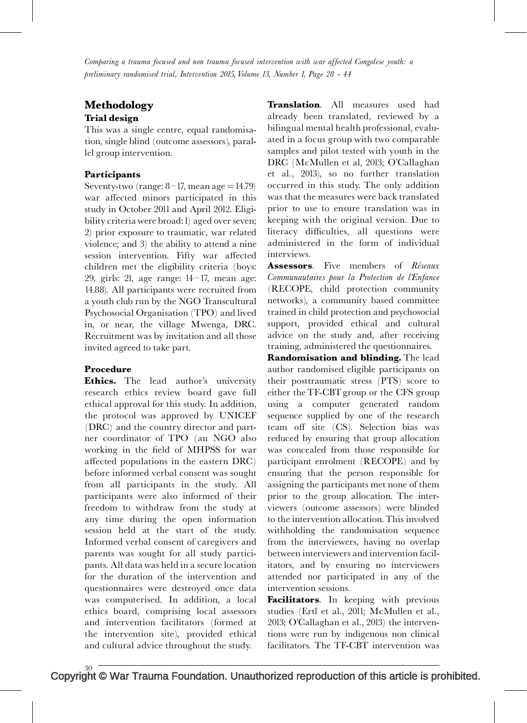# Methodology

# Trial design

This was a single centre, equal randomisation, single blind (outcome assessors), parallel group intervention.

# Participants

Seventy-two (range:  $8-17$ , mean age  $= 14.79$ ) war affected minors participated in this study in October 2011 and April 2012. Eligibility criteria were broad:1) aged over seven; 2) prior exposure to traumatic, war related violence; and 3) the ability to attend a nine session intervention. Fifty war affected children met the eligibility criteria (boys: 29, girls: 21, age range:  $14-17$ , mean age: 14.88). All participants were recruited from a youth club run by the NGO Transcultural Psychosocial Organisation (TPO) and lived in, or near, the village Mwenga, DRC. Recruitment was by invitation and all those invited agreed to take part.

# Procedure

**Ethics.** The lead author's university research ethics review board gave full ethical approval for this study. In addition, the protocol was approved by UNICEF (DRC) and the country director and partner coordinator of TPO (an NGO also working in the field of MHPSS for war affected populations in the eastern DRC) before informed verbal consent was sought from all participants in the study. All participants were also informed of their freedom to withdraw from the study at any time during the open information session held at the start of the study. Informed verbal consent of caregivers and parents was sought for all study participants. All data was held in a secure location for the duration of the intervention and questionnaires were destroyed once data was computerised. In addition, a local ethics board, comprising local assessors and intervention facilitators (formed at the intervention site), provided ethical and cultural advice throughout the study.

**Translation.** All measures used had already been translated, reviewed by a bilingual mental health professional, evaluated in a focus group with two comparable samples and pilot tested with youth in the DRC (McMullen et al, 2013; [O'Callaghan](#page-15-0) [et al., 2013\)](#page-15-0), so no further translation occurred in this study. The only addition was that the measures were back translated prior to use to ensure translation was in keeping with the original version. Due to literacy difficulties, all questions were administered in the form of individual interviews.

Assessors. Five members of Réseaux Communautaires pour la Protection de l'Enfance (RECOPE, child protection community networks), a community based committee trained in child protection and psychosocial support, provided ethical and cultural advice on the study and, after receiving training, administered the questionnaires.

Randomisation and blinding. The lead author randomised eligible participants on their posttraumatic stress (PTS) score to either the TF-CBT group or the CFS group using a computer generated random sequence supplied by one of the research team off site (CS). Selection bias was reduced by ensuring that group allocation was concealed from those responsible for participant enrolment (RECOPE) and by ensuring that the person responsible for assigning the participants met none of them prior to the group allocation. The interviewers (outcome assessors) were blinded to the intervention allocation. This involved withholding the randomisation sequence from the interviewers, having no overlap between interviewers and intervention facilitators, and by ensuring no interviewers attended nor participated in any of the intervention sessions.

**Facilitators.** In keeping with previous studies [\(Ertl et al., 2011; McMullen et al.,](#page-15-0) [2013; O'Callaghan et al., 2013\)](#page-15-0) the interventions were run by indigenous non clinical facilitators. The TF-CBT intervention was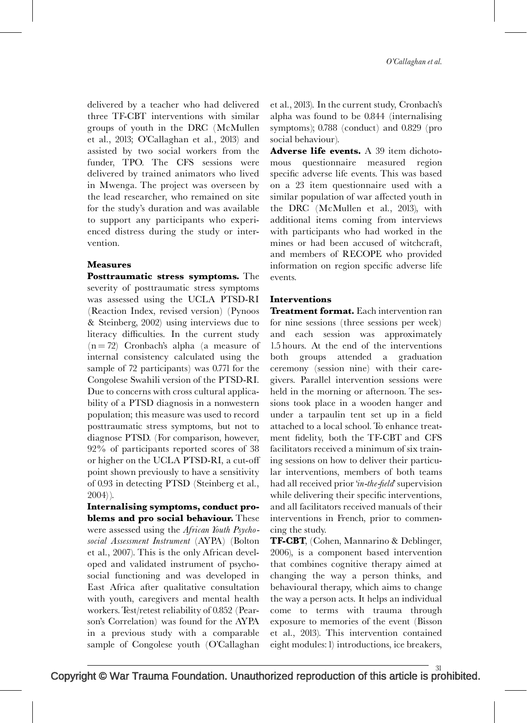delivered by a teacher who had delivered three TF-CBT interventions with similar groups of youth in the DRC ([McMullen](#page-15-0) [et al., 2013; O'Callaghan et al., 2013\)](#page-15-0) and assisted by two social workers from the funder, TPO. The CFS sessions were delivered by trained animators who lived in Mwenga. The project was overseen by the lead researcher, who remained on site for the study's duration and was available to support any participants who experienced distress during the study or intervention.

#### Measures

Posttraumatic stress symptoms. The severity of posttraumatic stress symptoms was assessed using the UCLA PTSD-RI (Reaction Index, revised version) ([Pynoos](#page-15-0) [& Steinberg, 2002\)](#page-15-0) using interviews due to literacy difficulties. In the current study  $(n = 72)$  Cronbach's alpha (a measure of internal consistency calculated using the sample of 72 participants) was 0.771 for the Congolese Swahili version of the PTSD-RI. Due to concerns with cross cultural applicability of a PTSD diagnosis in a nonwestern population; this measure was used to record posttraumatic stress symptoms, but not to diagnose PTSD. (For comparison, however, 92% of participants reported scores of 38 or higher on the UCLA PTSD-RI, a cut-off point shown previously to have a sensitivity of 0.93 in detecting PTSD [\(Steinberg et al.,](#page-16-0) [2004\)](#page-16-0)).

Internalising symptoms, conduct problems and pro social behaviour. These were assessed using the African Youth Psychosocial Assessment Instrument (AYPA) ([Bolton](#page-14-0) [et al., 2007\)](#page-14-0). This is the only African developed and validated instrument of psychosocial functioning and was developed in East Africa after qualitative consultation with youth, caregivers and mental health workers. Test/retest reliability of 0.852 (Pearson's Correlation) was found for the AYPA in a previous study with a comparable sample of Congolese youth ([O'Callaghan](#page-15-0)

[et al., 2013\)](#page-15-0). In the current study, Cronbach's alpha was found to be 0.844 (internalising symptoms); 0.788 (conduct) and 0.829 (pro social behaviour).

Adverse life events. A 39 item dichotomous questionnaire measured region specific adverse life events. This was based on a 23 item questionnaire used with a similar population of war affected youth in the DRC ([McMullen et al., 2013\)](#page-15-0), with additional items coming from interviews with participants who had worked in the mines or had been accused of witchcraft, and members of RECOPE who provided information on region specific adverse life events.

## Interventions

**Treatment format.** Each intervention ran for nine sessions (three sessions per week) and each session was approximately 1.5 hours. At the end of the interventions both groups attended a graduation ceremony (session nine) with their caregivers. Parallel intervention sessions were held in the morning or afternoon. The sessions took place in a wooden hanger and under a tarpaulin tent set up in a field attached to a local school. To enhance treatment fidelity, both the TF-CBT and CFS facilitators received a minimum of six training sessions on how to deliver their particular interventions, members of both teams had all received prior 'in-the-field' supervision while delivering their specific interventions, and all facilitators received manuals of their interventions in French, prior to commencing the study.

TF-CBT, [\(Cohen, Mannarino & Deblinger,](#page-14-0) [2006\)](#page-14-0), is a component based intervention that combines cognitive therapy aimed at changing the way a person thinks, and behavioural therapy, which aims to change the way a person acts. It helps an individual come to terms with trauma through exposure to memories of the event [\(Bisson](#page-14-0) [et al., 2013\)](#page-14-0). This intervention contained eight modules:1) introductions, ice breakers,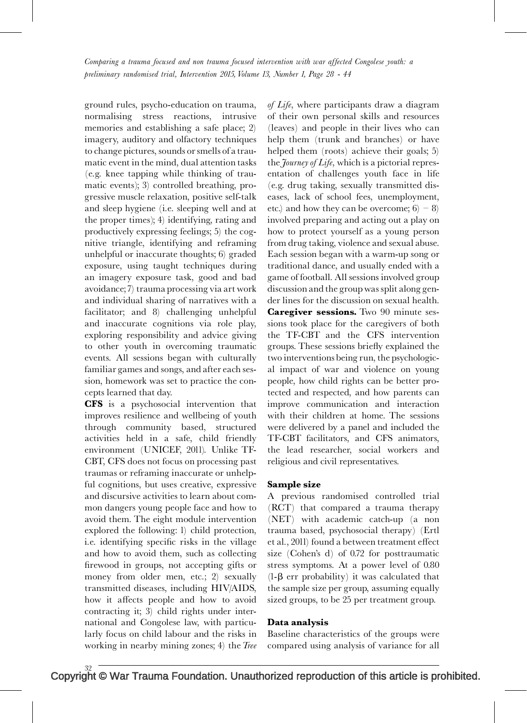ground rules, psycho-education on trauma, normalising stress reactions, intrusive memories and establishing a safe place; 2) imagery, auditory and olfactory techniques to change pictures, sounds or smells of a traumatic event in the mind, dual attention tasks (e.g. knee tapping while thinking of traumatic events); 3) controlled breathing, progressive muscle relaxation, positive self-talk and sleep hygiene (i.e. sleeping well and at the proper times); 4) identifying, rating and productively expressing feelings; 5) the cognitive triangle, identifying and reframing unhelpful or inaccurate thoughts; 6) graded exposure, using taught techniques during an imagery exposure task, good and bad avoidance;7) trauma processing via art work and individual sharing of narratives with a facilitator; and 8) challenging unhelpful and inaccurate cognitions via role play, exploring responsibility and advice giving to other youth in overcoming traumatic events. All sessions began with culturally familiar games and songs, and after each session, homework was set to practice the concepts learned that day.

CFS is a psychosocial intervention that improves resilience and wellbeing of youth through community based, structured activities held in a safe, child friendly environment [\(UNICEF, 2011\)](#page-16-0). Unlike TF-CBT, CFS does not focus on processing past traumas or reframing inaccurate or unhelpful cognitions, but uses creative, expressive and discursive activities to learn about common dangers young people face and how to avoid them. The eight module intervention explored the following: 1) child protection, i.e. identifying specific risks in the village and how to avoid them, such as collecting firewood in groups, not accepting gifts or money from older men, etc.; 2) sexually transmitted diseases, including HIV/AIDS, how it affects people and how to avoid contracting it; 3) child rights under international and Congolese law, with particularly focus on child labour and the risks in working in nearby mining zones; 4) the  $Tree$ 

of Life, where participants draw a diagram of their own personal skills and resources (leaves) and people in their lives who can help them (trunk and branches) or have helped them (roots) achieve their goals; 5) the  $\tilde{\jmath}_{\text{ourney}}$  of Life, which is a pictorial representation of challenges youth face in life (e.g. drug taking, sexually transmitted diseases, lack of school fees, unemployment, etc.) and how they can be overcome;  $6 - 8$ ) involved preparing and acting out a play on how to protect yourself as a young person from drug taking, violence and sexual abuse. Each session began with a warm-up song or traditional dance, and usually ended with a game of football. All sessions involved group discussion and the group was split along gender lines for the discussion on sexual health. Caregiver sessions. Two 90 minute sessions took place for the caregivers of both the TF-CBT and the CFS intervention groups. These sessions brie£y explained the two interventions being run, the psychological impact of war and violence on young people, how child rights can be better protected and respected, and how parents can improve communication and interaction with their children at home. The sessions were delivered by a panel and included the TF-CBT facilitators, and CFS animators, the lead researcher, social workers and religious and civil representatives.

#### Sample size

A previous randomised controlled trial (RCT) that compared a trauma therapy (NET) with academic catch-up (a non trauma based, psychosocial therapy) ([Ertl](#page-15-0) [et al., 2011\)](#page-15-0) found a between treatment effect size (Cohen's d) of 0.72 for posttraumatic stress symptoms. At a power level of 0.80  $(1-\beta$  err probability) it was calculated that the sample size per group, assuming equally sized groups, to be 25 per treatment group.

#### Data analysis

Baseline characteristics of the groups were compared using analysis of variance for all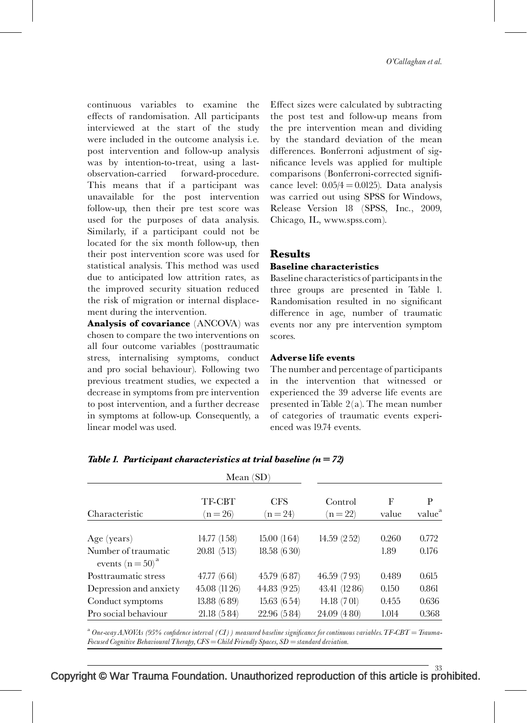continuous variables to examine the effects of randomisation. All participants interviewed at the start of the study were included in the outcome analysis i.e. post intervention and follow-up analysis was by intention-to-treat, using a lastobservation-carried forward-procedure. This means that if a participant was unavailable for the post intervention follow-up, then their pre test score was used for the purposes of data analysis. Similarly, if a participant could not be located for the six month follow-up, then their post intervention score was used for statistical analysis. This method was used due to anticipated low attrition rates, as the improved security situation reduced the risk of migration or internal displacement during the intervention.

Analysis of covariance (ANCOVA) was chosen to compare the two interventions on all four outcome variables (posttraumatic stress, internalising symptoms, conduct and pro social behaviour). Following two previous treatment studies, we expected a decrease in symptoms from pre intervention to post intervention, and a further decrease in symptoms at follow-up. Consequently, a linear model was used.

Effect sizes were calculated by subtracting the post test and follow-up means from the pre intervention mean and dividing by the standard deviation of the mean differences. Bonferroni adjustment of signi¢cance levels was applied for multiple comparisons (Bonferroni-corrected signi¢ cance level:  $0.05/4 = 0.0125$ ). Data analysis was carried out using SPSS for Windows, Release Version 18 (SPSS, Inc., 2009, Chicago, IL, [www.spss.com\)](http://www.spss.com/).

# Results

#### Baseline characteristics

Baseline characteristics of participants in the three groups are presented in Table 1. Randomisation resulted in no significant difference in age, number of traumatic events nor any pre intervention symptom scores.

#### Adverse life events

The number and percentage of participants in the intervention that witnessed or experienced the 39 adverse life events are presented in Table  $2(a)$ . The mean number of categories of traumatic events experienced was 19.74 events.

|                                            | Mean (5D)                 |                 |                       |            |                         |
|--------------------------------------------|---------------------------|-----------------|-----------------------|------------|-------------------------|
| Characteristic                             | <b>TF-CBT</b><br>$n = 26$ | CFS<br>$n = 24$ | Control<br>$(n = 22)$ | F<br>value | P<br>value <sup>a</sup> |
|                                            |                           |                 |                       |            |                         |
| Age (years)                                | 14.77 (158)               | 15.00(164)      | 14.59(252)            | 0.260      | 0.772                   |
| Number of traumatic<br>events $(n=50)^{a}$ | 20.81 (513)               | 18.58 (630)     |                       | 1.89       | 0.176                   |
| Posttraumatic stress                       | 47.77 (6.61)              | 45.79 (6.87)    | 46.59 (793)           | 0.489      | 0.615                   |
| Depression and anxiety                     | 45.08 (11 26)             | 44.83 (925)     | 43.41 (12 86)         | 0.150      | 0.861                   |
| Conduct symptoms                           | 13.88 (689)               | 15.63(654)      | 14.18(701)            | 0.455      | 0.636                   |
| Pro social behaviour                       | 21.18 (5 84)              | 22.96 (584)     | 24.09 (480)           | 1.014      | 0.368                   |

 $M = (CD)$ 

Table 1. Participant characteristics at trial baseline  $(n = 72)$ 

 $a$  One-way ANOVAs (95% confidence interval (CI)) measured baseline significance for continuous variables. TF-CBT = Trauma-Focused Cognitive Behavioural Therapy,  $CFS = Child$  Friendly Spaces,  $SD = standard$  deviation.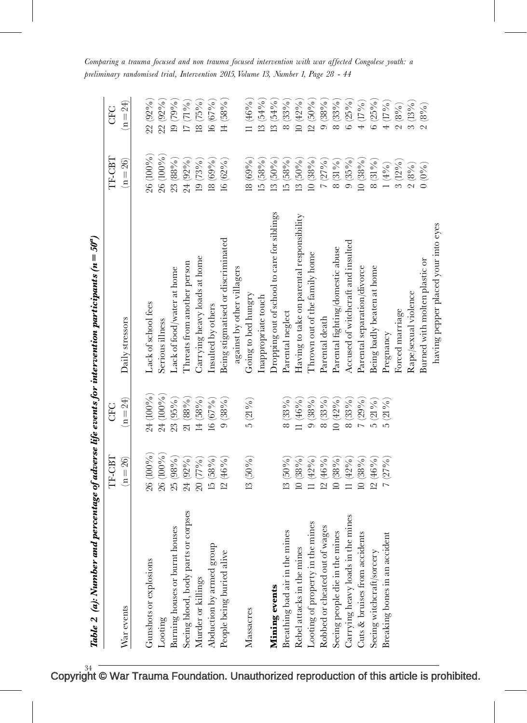|                                     | TF-CBT      | CFC              |                                             | TF-CBT       | CFC                       |
|-------------------------------------|-------------|------------------|---------------------------------------------|--------------|---------------------------|
| War events                          | $(n = 26)$  | $(n = 24)$       | Daily stressors                             | $(n = 26)$   | $(n = 24)$                |
| Gunshots or explosions              | 26 (100%    | 24 (100%)        | Lack of school fees                         | 26 (100%     | 22(92%                    |
| Looting                             | 26 (100%    | 24 (100%)        | Serious illness                             | 26 (100%     | 22(92%)                   |
| Burning houses or burnt houses      | 25 (98%)    | 23(95%)          | Lack of food/water at home                  | $23~(88\%)$  | 19 (79%)                  |
| Seeing blood, body parts or corpses | 24 (92%)    | 21(88%           | Threats from another person                 | 24 (92%)     | $17(71\%)$                |
| Murder or killings                  | 20 (77%)    | 14 (58%)         | Carrying heavy loads at home                | 19(73%       | $18(75\%)$                |
| Abduction by armed group            | $15 (58\%)$ | 16(67%           | Insulted by others                          | $18(69\%)$   | 16 (67%)                  |
| People being buried alive           | $12(46\%)$  | (38%)<br>$\circ$ | Being stigmatised or discriminated          | 16(62%)      | $14(58\%)$                |
|                                     |             |                  | against by other villagers                  |              |                           |
| Massacres                           | $13(50\%)$  | $5(21\%)$        | Going to bed hungry                         | 18 (69%)     | 11 (46%)                  |
|                                     |             |                  | Inappropriate touch                         | 15 (58%)     | 13(54%)                   |
| Mining events                       |             |                  | Dropping out of school to care for siblings | 13 (50%      | 13(54%)                   |
| Breathing bad air in the mines      | $13(50\%$   | 8(33%            | Parental neglect                            | 15 (58%      | $8~(33\,\%)$              |
| Rebel attacks in the mines          | $10 (38\%$  | 11 (46%)         | Having to take on parental responsibility   | 13 (50%)     | 10(42%)                   |
| Looting of property in the mines    | 11(42%      | 9(38%)           | Thrown out of the family home               | $10 (38\%$   | $12(50\%)$                |
| Robbed or cheated out of wages      | $12~(46\%)$ | $8~(33\%)$       | Parental death                              | 7(27%)       | $9(38\%)$                 |
| Seeing people die in the mines      | $10~(38\%)$ | $10 (42\%$       | Parental fighting/domestic abuse            | $8~(31\,\%)$ | $8(33\%)$                 |
| Carrying heavy loads in the mines   | $11 (42\%$  | 8(33%)           | Accused of witchcraft and insulted          | $9(35\%)$    | $6(25\%)$                 |
| Cuts & bruises from accidents       | $10 (38\%$  | 7(29%)           | Parental separation/divorce                 | $10^{98\%}$  | 4(17%)                    |
| Seeing witchcraft/sorcery           | $12(46\%)$  | $5\ (21\ \%)$    | Being badly beaten at home                  | $8~(31\,\%)$ | $6(25\%)$                 |
| Breaking bones in an accident       | 7(27%)      | $(21\%)$<br>ഹ    | Pregnancy                                   | l $(4\%)$    | $4(17%)$                  |
|                                     |             |                  | Forced marriage                             | $3~(12\%)$   | $2\ (8\%)$                |
|                                     |             |                  | Rape/sexual violence                        | $2\ (8\%)$   | $(13\%)$<br>$\frac{1}{3}$ |
|                                     |             |                  | Burned with molten plastic or               | $(0.0\%)$    | $2\ (8\%)$                |
|                                     |             |                  | having pepper placed your into eyes         |              |                           |

<span id="page-6-0"></span>Comparing a trauma focused and non trauma focused intervention with war affected Congolese youth: a preliminary randomised trial, Intervention 2015, Volume 13, Number 1, Page 28 - 44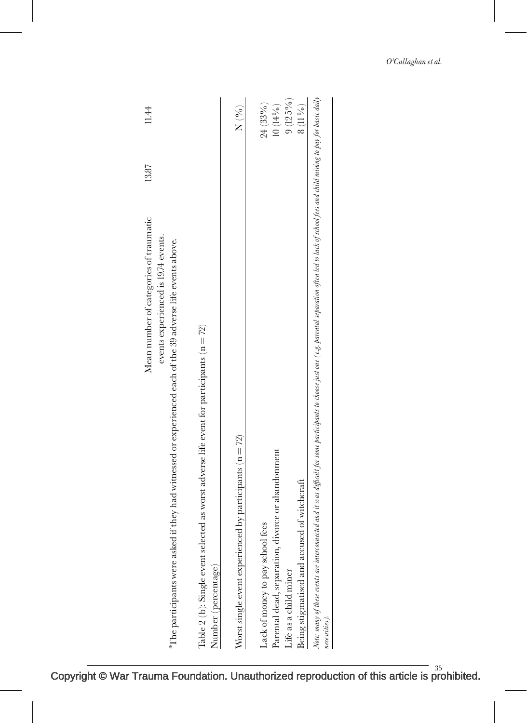| 9(125%)<br>$24~(33\,\%)$<br>$10~(14\%)$<br>$8~(11\,\%)$<br>N $( \% )$<br>Worst single event experienced by participants ( $n = 72$ )<br>Parental dead, separation, divorce or abandonment<br>of witchcraft<br>Lack of money to pay school fees<br>Being stigmatised and accused<br>Number (percentage)<br>Life as a child miner |
|---------------------------------------------------------------------------------------------------------------------------------------------------------------------------------------------------------------------------------------------------------------------------------------------------------------------------------|
|                                                                                                                                                                                                                                                                                                                                 |
|                                                                                                                                                                                                                                                                                                                                 |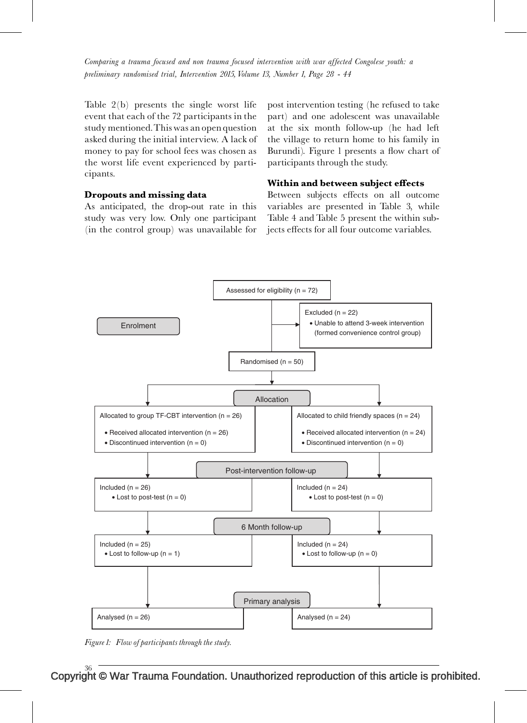[Table 2\(](#page-6-0)b) presents the single worst life event that each of the 72 participants in the study mentioned.This was an open question asked during the initial interview. A lack of money to pay for school fees was chosen as the worst life event experienced by participants.

#### Dropouts and missing data

As anticipated, the drop-out rate in this study was very low. Only one participant (in the control group) was unavailable for post intervention testing (he refused to take part) and one adolescent was unavailable at the six month follow-up (he had left the village to return home to his family in Burundi). Figure 1 presents a flow chart of participants through the study.

#### Within and between subject effects

Between subjects effects on all outcome variables are presented in [Table 3,](#page-9-0) while [Table 4](#page-10-0) and [Table 5](#page-11-0) present the within subjects effects for all four outcome variables.



Figure 1: Flow of participants through the study.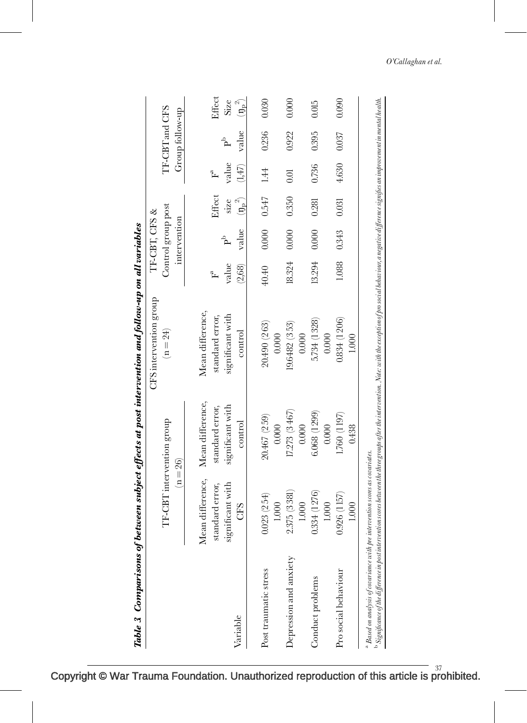<span id="page-9-0"></span>

|                        |                            | TF-CBT intervention group           | CFS intervention group<br>$\left( n=24\right)$ |        | Control group post<br>TF-CBT, CFS & |                                            |            | TF-CBTand CFS           |                       |
|------------------------|----------------------------|-------------------------------------|------------------------------------------------|--------|-------------------------------------|--------------------------------------------|------------|-------------------------|-----------------------|
|                        |                            | $(n = 26)$                          |                                                |        | intervention                        |                                            |            | Group follow-up         |                       |
|                        | Mean difference,           | Mean difference,                    | Mean difference,                               |        |                                     |                                            |            |                         |                       |
|                        | standard error,            | significant with<br>standard error, | significant with<br>standard error,            | value  | $\mathring{\mathsf{h}}$             | Effect<br>size                             | value<br>ዄ | $\mathbf{P}^{\text{b}}$ | Effect<br><b>Size</b> |
| Variable               | significant with<br>CFS    | control                             | control                                        | (2,68) | value                               | $\left(\mathbf{1}\right)_{\mathbf{p}}^{2}$ | (1,47)     | value                   | $(\mathbf{1p}^2)$     |
| Post traumatic stress  | 0.023(254)<br>$1.000$      | 20.467(259)<br>0.000                | 20.490 (263)<br>0.000                          | 40.40  | 0.000                               | 0.547                                      | 1.44       | 0.236                   | 0.030                 |
| Depression and anxiety | 2.375(3381)<br>$1.000$     | 17.273(3467)<br>0.000               | $19.6482\ (3\,53)$<br>$0.000$                  | 18.324 | $0.000$                             | 0.350                                      | 0.01       | 0.922                   | $0.000$               |
| Conduct problems       | 0.334(1276)<br>1.000       | 6.068(1.299)<br>0.000               | 5.734 (1328)<br>0.000                          | 13.294 | 0.000                               | 0.281                                      | 0.736      | 0.395                   | 0.015                 |
| Pro social behaviour   | $0.926$ (1 157)<br>$1.000$ | 1.760 (197)<br>0.438                | 0.834 (1206)<br>$1.000$                        | 1.088  | 0.343                               | 0.031                                      | 4.630      | 0.037                   | 0.090                 |

Copyright © War Trauma Foundation. Unauthorized reproduction of this article is prohibited.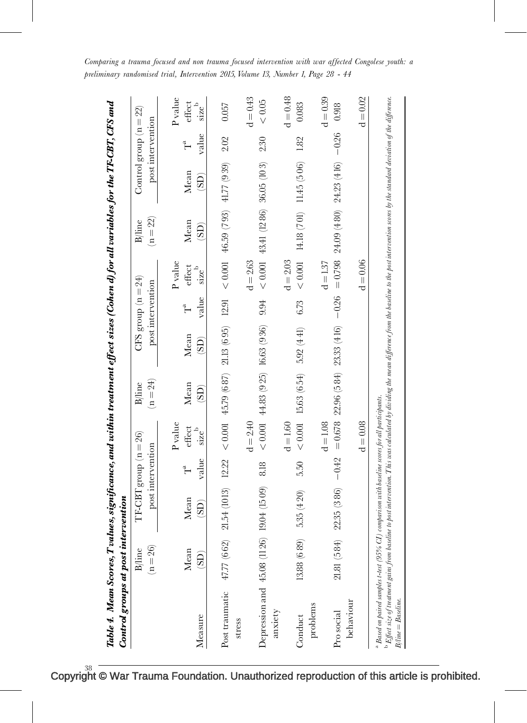<span id="page-10-0"></span>

|                                       | $(n = 26)$<br><b>B</b> /line | $TF-CBT$ group ( $n = 26$ ) | post intervention            |                                               | $(n = 24)$<br><b>B</b> /line      |                         | CFS group $(n = 24)$<br>post intervention |                                                | $\left( n=22\right)$<br>B/line    | Control group $(n = 22)$ | post intervention             |                                            |
|---------------------------------------|------------------------------|-----------------------------|------------------------------|-----------------------------------------------|-----------------------------------|-------------------------|-------------------------------------------|------------------------------------------------|-----------------------------------|--------------------------|-------------------------------|--------------------------------------------|
| Measure                               | Mean<br>(SD)                 | Mean<br>(SD)                | value<br>$\ddot{\mathsf{L}}$ | <b>P</b> value<br>effect<br>size <sup>b</sup> | Mean<br>(SD)                      | Mean<br>(SD)            | value<br>$\overline{\mathbb{L}}$          | <b>P</b> value<br>effect<br>$\frac{1}{\sin^b}$ | Mean<br>(SD)                      | Mean<br>(SD)             | value<br>$\tilde{\mathbb{L}}$ | P value<br>effect<br>$\frac{\sinh}{\sinh}$ |
| Post traumatic                        | 47.77 (662)                  | $.54\ (10\ 13)$<br>$\Xi$    | 12.22                        |                                               | $< 0.001$ 45.79 (687)             | 21.13(695)              | 12.91                                     |                                                | $< 0.001$ 46.59 (793) 41.77 (939) |                          | 2.02                          | 0.057                                      |
| Depression and 45.08 (1126)<br>stress |                              | 19.04 (1509)                | 8.18                         | $< 0.001\,$<br>$d = 2.40$                     |                                   | 44.83 (925) 16.63 (936) | 9.94                                      | $d = 2.63$<br>$< 0.001\,$                      | 43.41 (1286)                      | 36.05 (103)              | 2.30                          | $d = 0.43$<br>$< 0.05\,$                   |
| anxiety<br>Conduct                    | 13.88 (689)                  | 5.35(420)                   | 5.50                         | $d = 1.60$<br>$< 0.001\,$                     | 15.63(654)                        | 5.92(441)               | 6.73                                      | $d = 2.03$<br>$< 0.001\,$                      | 14.18 $(701)$                     | 11.45 (506)              | 1.82                          | $d = 0.48$<br>0.083                        |
| problems<br>Pro social                | 21.81(584)                   | 22.35(386)                  | $-0.42$                      | $d = 1.08$                                    | $= 0.678$ 22.96 (584) 23.33 (416) |                         | $-0.26$                                   | $= 0.798$<br>$d = 1.37$                        | $24.09(480)$ $24.23(416)$         |                          | $-0.26$                       | $d = 0.39$<br>0.918                        |
| behaviour                             |                              |                             |                              | $d = 0.08$                                    |                                   |                         |                                           | $d = 0.06$                                     |                                   |                          |                               | $d = 0.02$                                 |

Copyright © War Trauma Foundation. Unauthorized reproduction of this article is prohibited.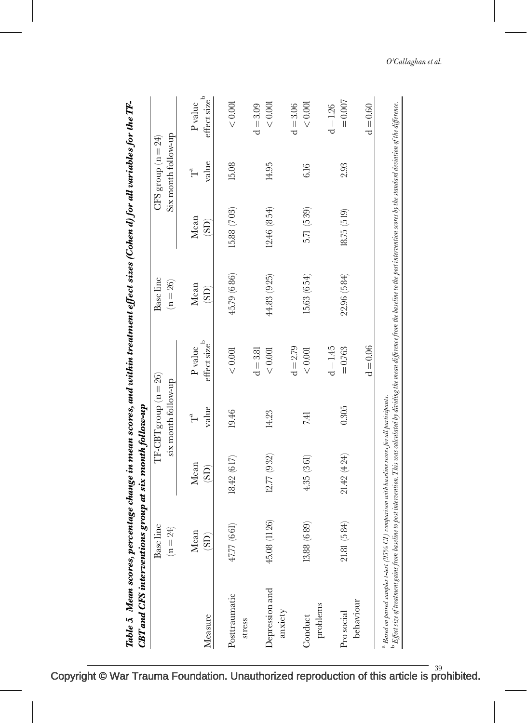<span id="page-11-0"></span>

|                           | Base line<br>$\left( n=24\right)$  |              | $TF-CBT$ group $(n = 26)$<br>six month follow-up |                                           | Base line<br>$(n = 26)$ |              | Six month follow-up<br>CFS group $(n = 24)$ |                                     |
|---------------------------|------------------------------------|--------------|--------------------------------------------------|-------------------------------------------|-------------------------|--------------|---------------------------------------------|-------------------------------------|
| Measure                   | Mean<br>$\left( \text{SD} \right)$ | Mean<br>(SD) | value<br>$\ddot{\mathsf{r}}$                     | $\frac{e\text{ffect size}}{e}$<br>P value | Mean<br>(SD)            | Mean<br>(SD) | value<br>$\ddot{\mathsf{L}}$                | effect size <sup>b</sup><br>P value |
| Posttraumatic<br>stress   | 47.77 (661)                        | 18.42(617)   | 19.46                                            | $<0.001\,$                                | 45.79 (686)             | 15.88 (703)  | 15.08                                       | $< 0.001\,$                         |
| Depression and<br>anxiety | 45.08 (1126)                       | 12.77 (932)  | 14.23                                            | $d = 3.81$<br>< 0.001                     | 44.83 (925)             | 12.46(854)   | 14.95                                       | < 0.001<br>$\rm d=3.09$             |
| Conduct                   | 13.88 (689)                        | 4.35(361)    | 7.41                                             | $d = 2.79$<br>$<0.001\,$                  | 15.63 (654)             | 5.71 (539)   | 6.16                                        | $< 0.001\,$<br>$\rm d=3.06$         |
| problems<br>Pro social    | 21.81(584)                         | 21.42 (424)  | 0.305                                            | $d = 1.45$<br>$= 0.763$                   | 22.96 (584)             | 18.75 (519)  | 2.93                                        | $= 0.007$<br>$d = 1.26$             |
| behaviour                 |                                    |              |                                                  | $d = 0.06$                                |                         |              |                                             | $d = 0.60$                          |

O'Callaghan et al.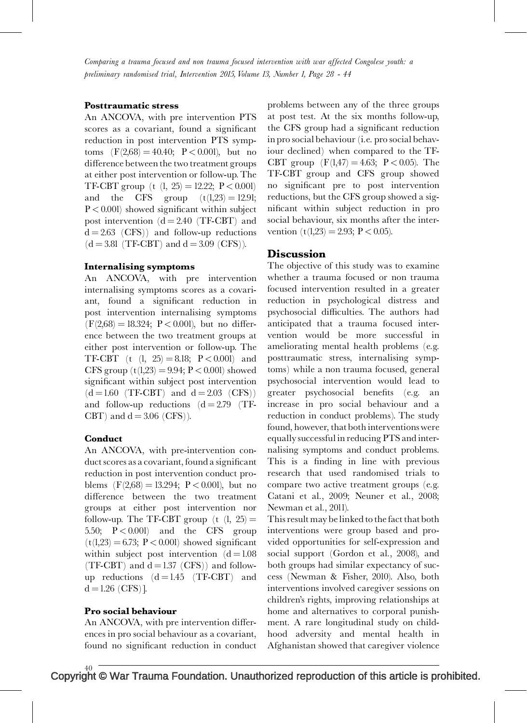#### Posttraumatic stress

An ANCOVA, with pre intervention PTS scores as a covariant, found a significant reduction in post intervention PTS symptoms  $(F(2,68) = 40.40; P < 0.001)$ , but no difference between the two treatment groups at either post intervention or follow-up. The TF-CBT group (t  $(1, 25) = 12.22$ ; P < 0.001) and the CFS group  $(t(1,23) = 12.91;$  $P < 0.001$ ) showed significant within subject post intervention  $(d = 2.40$  (TF-CBT) and  $d = 2.63$  (CFS)) and follow-up reductions  $(d = 3.81$  (TF-CBT) and  $d = 3.09$  (CFS)).

#### Internalising symptoms

An ANCOVA, with pre intervention internalising symptoms scores as a covariant, found a significant reduction in post intervention internalising symptoms  $(F(2,68) = 18.324; P < 0.001)$ , but no difference between the two treatment groups at either post intervention or follow-up. The TF-CBT (t  $(1, 25) = 8.18$ ; P < 0.001) and CFS group  $(t(1,23) = 9.94; P < 0.001)$  showed significant within subject post intervention  $(d = 1.60$  (TF-CBT) and  $d = 2.03$  (CFS)) and follow-up reductions  $(d = 2.79$  (TF-CBT) and  $d = 3.06$  (CFS)).

#### Conduct

An ANCOVA, with pre-intervention conduct scores as a covariant, found a significant reduction in post intervention conduct problems  $(F(2,68) = 13.294; P < 0.001)$ , but no difference between the two treatment groups at either post intervention nor follow-up. The TF-CBT group (t  $(1, 25)$  = 5.50;  $P < 0.001$  and the CFS group  $(t(1,23) = 6.73; P < 0.001)$  showed significant within subject post intervention  $(d=1.08)$ (TF-CBT) and  $d = 1.37$  (CFS)) and followup reductions  $(d = 1.45$  (TF-CBT) and  $d = 1.26$  (CFS)].

#### Pro social behaviour

An ANCOVA, with pre intervention differences in pro social behaviour as a covariant, found no significant reduction in conduct

problems between any of the three groups at post test. At the six months follow-up, the CFS group had a significant reduction in pro social behaviour (i.e. pro social behaviour declined) when compared to the TF-CBT group  $(F(1,47) = 4.63; P < 0.05)$ . The TF-CBT group and CFS group showed no signi¢cant pre to post intervention reductions, but the CFS group showed a significant within subject reduction in pro social behaviour, six months after the intervention  $(t(1,23) = 2.93; P < 0.05)$ .

## **Discussion**

The objective of this study was to examine whether a trauma focused or non trauma focused intervention resulted in a greater reduction in psychological distress and psychosocial difficulties. The authors had anticipated that a trauma focused intervention would be more successful in ameliorating mental health problems (e.g. posttraumatic stress, internalising symptoms) while a non trauma focused, general psychosocial intervention would lead to greater psychosocial bene¢ts (e.g. an increase in pro social behaviour and a reduction in conduct problems). The study found, however, that both interventions were equally successful in reducing PTS and internalising symptoms and conduct problems. This is a finding in line with previous research that used randomised trials to compare two active treatment groups (e.g. [Catani et al., 2009; Neuner et al., 2008;](#page-14-0) [Newman et al., 2011\)](#page-14-0).

This result may be linked to the fact that both interventions were group based and provided opportunities for self-expression and social support ([Gordon et al., 2008\)](#page-15-0), and both groups had similar expectancy of success ([Newman & Fisher, 2010\)](#page-15-0). Also, both interventions involved caregiver sessions on children's rights, improving relationships at home and alternatives to corporal punishment. A rare longitudinal study on childhood adversity and mental health in Afghanistan showed that caregiver violence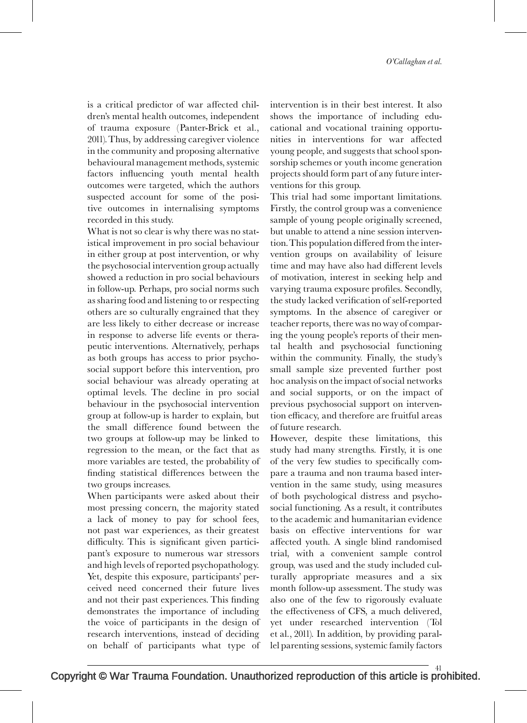is a critical predictor of war affected children's mental health outcomes, independent of trauma exposure ([Panter-Brick et al.,](#page-15-0) [2011\)](#page-15-0).Thus, by addressing caregiver violence in the community and proposing alternative behavioural management methods, systemic factors influencing youth mental health outcomes were targeted, which the authors suspected account for some of the positive outcomes in internalising symptoms recorded in this study.

What is not so clear is why there was no statistical improvement in pro social behaviour in either group at post intervention, or why the psychosocial intervention group actually showed a reduction in pro social behaviours in follow-up. Perhaps, pro social norms such as sharing food and listening to or respecting others are so culturally engrained that they are less likely to either decrease or increase in response to adverse life events or therapeutic interventions. Alternatively, perhaps as both groups has access to prior psychosocial support before this intervention, pro social behaviour was already operating at optimal levels. The decline in pro social behaviour in the psychosocial intervention group at follow-up is harder to explain, but the small difference found between the two groups at follow-up may be linked to regression to the mean, or the fact that as more variables are tested, the probability of finding statistical differences between the two groups increases.

When participants were asked about their most pressing concern, the majority stated a lack of money to pay for school fees, not past war experiences, as their greatest difficulty. This is significant given participant's exposure to numerous war stressors and high levels of reported psychopathology. Yet, despite this exposure, participants' perceived need concerned their future lives and not their past experiences. This finding demonstrates the importance of including the voice of participants in the design of research interventions, instead of deciding on behalf of participants what type of

intervention is in their best interest. It also shows the importance of including educational and vocational training opportunities in interventions for war affected young people, and suggests that school sponsorship schemes or youth income generation projects should form part of any future interventions for this group.

This trial had some important limitations. Firstly, the control group was a convenience sample of young people originally screened, but unable to attend a nine session intervention. This population differed from the intervention groups on availability of leisure time and may have also had different levels of motivation, interest in seeking help and varying trauma exposure profiles. Secondly, the study lacked verification of self-reported symptoms. In the absence of caregiver or teacher reports, there was no way of comparing the young people's reports of their mental health and psychosocial functioning within the community. Finally, the study's small sample size prevented further post hoc analysis on the impact of social networks and social supports, or on the impact of previous psychosocial support on intervention efficacy, and therefore are fruitful areas of future research.

However, despite these limitations, this study had many strengths. Firstly, it is one of the very few studies to specifically compare a trauma and non trauma based intervention in the same study, using measures of both psychological distress and psychosocial functioning. As a result, it contributes to the academic and humanitarian evidence basis on effective interventions for war affected youth. A single blind randomised trial, with a convenient sample control group, was used and the study included culturally appropriate measures and a six month follow-up assessment. The study was also one of the few to rigorously evaluate the effectiveness of CFS, a much delivered, yet under researched intervention ([Tol](#page-16-0) [et al., 2011\)](#page-16-0). In addition, by providing parallel parenting sessions, systemic family factors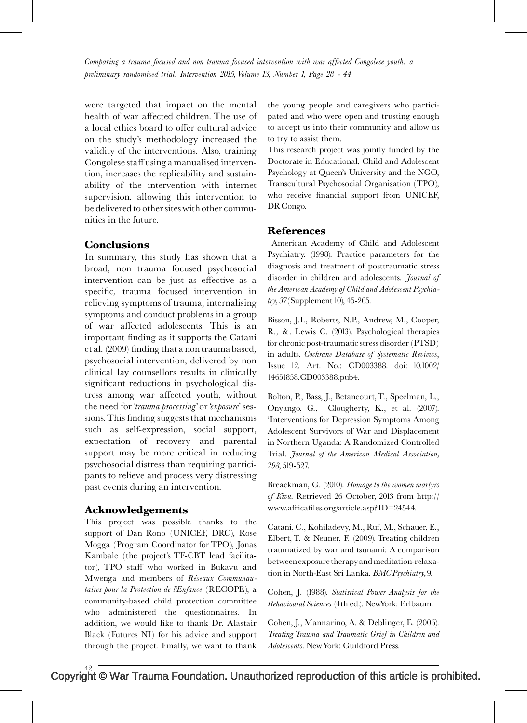<span id="page-14-0"></span>were targeted that impact on the mental health of war affected children. The use of a local ethics board to offer cultural advice on the study's methodology increased the validity of the interventions. Also, training Congolese staff using a manualised intervention, increases the replicability and sustainability of the intervention with internet supervision, allowing this intervention to be delivered to other sites with other communities in the future.

# **Conclusions**

In summary, this study has shown that a broad, non trauma focused psychosocial intervention can be just as effective as a specific, trauma focused intervention in relieving symptoms of trauma, internalising symptoms and conduct problems in a group of war affected adolescents. This is an important finding as it supports the Catani et al. (2009) finding that a non trauma based, psychosocial intervention, delivered by non clinical lay counsellors results in clinically significant reductions in psychological distress among war affected youth, without the need for 'trauma processing'or 'exposure' sessions. This finding suggests that mechanisms such as self-expression, social support, expectation of recovery and parental support may be more critical in reducing psychosocial distress than requiring participants to relieve and process very distressing past events during an intervention.

# Acknowledgements

This project was possible thanks to the support of Dan Rono (UNICEF, DRC), Rose Mogga (Program Coordinator for TPO), Jonas Kambale (the project's TF-CBT lead facilitator), TPO staff who worked in Bukavu and Mwenga and members of Réseaux Communautaires pour la Protection de l'Enfance (RECOPE), a community-based child protection committee who administered the questionnaires. In addition, we would like to thank Dr. Alastair Black (Futures NI) for his advice and support through the project. Finally, we want to thank

the young people and caregivers who participated and who were open and trusting enough to accept us into their community and allow us to try to assist them.

This research project was jointly funded by the Doctorate in Educational, Child and Adolescent Psychology at Queen's University and the NGO, Transcultural Psychosocial Organisation (TPO), who receive financial support from UNICEF, DR Congo.

# References

American Academy of Child and Adolescent Psychiatry. (1998). Practice parameters for the diagnosis and treatment of posttraumatic stress disorder in children and adolescents. Journal of the American Academy of Child and Adolescent Psychiatry, 37(Supplement 10), 45-265.

Bisson, J.I., Roberts, N.P., Andrew, M., Cooper, R., &. Lewis C. (2013). Psychological therapies for chronic post-traumatic stress disorder (PTSD) in adults. Cochrane Database of Systematic Reviews, Issue 12. Art. No.: CD003388. doi: 10.1002/ 14651858.CD003388.pub4.

Bolton, P., Bass, J., Betancourt, T., Speelman, L., Onyango, G., Clougherty, K., et al. (2007). 'Interventions for Depression Symptoms Among Adolescent Survivors of War and Displacement in Northern Uganda: A Randomized Controlled Trial. Journal of the American Medical Association, 298, 519-527.

Breackman, G. (2010). Homage to the women martyrs of Kivu. Retrieved 26 October, 2013 from [http://](http://www.africafiles.org/article.asp?ID=24544) [www.africa¢les.org/article.asp?ID=24544.](http://www.africafiles.org/article.asp?ID=24544)

Catani, C., Kohiladevy, M., Ruf, M., Schauer, E., Elbert, T. & Neuner, F. (2009). Treating children traumatized by war and tsunami: A comparison between exposure therapy and meditation-relaxation in North-East Sri Lanka. BMC Psychiatry,9.

Cohen, J. (1988). Statistical Power Analysis for the Behavioural Sciences (4th ed.). NewYork: Erlbaum.

Cohen, J., Mannarino, A. & Deblinger, E. (2006). Treating Trauma and Traumatic Grief in Children and Adolescents. NewYork: Guildford Press.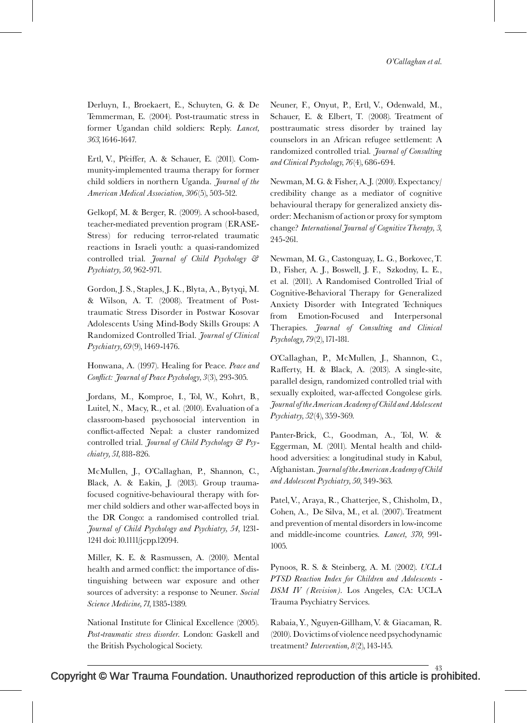O'Callaghan et al.

<span id="page-15-0"></span>Derluyn, I., Broekaert, E., Schuyten, G. & De Temmerman, E. (2004). Post-traumatic stress in former Ugandan child soldiers: Reply. Lancet, 363,1646-1647.

Ertl, V., Pfeiffer, A. & Schauer, E. (2011). Community-implemented trauma therapy for former child soldiers in northern Uganda. Journal of the American Medical Association, 306(5), 503-512.

Gelkopf, M. & Berger, R. (2009). A school-based, teacher-mediated prevention program (ERASE-Stress) for reducing terror-related traumatic reactions in Israeli youth: a quasi-randomized controlled trial. Journal of Child Psychology & Psychiatry, 50, 962-971.

Gordon, J. S., Staples, J. K., Blyta, A., Bytyqi, M. & Wilson, A. T. (2008). Treatment of Posttraumatic Stress Disorder in Postwar Kosovar Adolescents Using Mind-Body Skills Groups: A Randomized Controlled Trial. Journal of Clinical Psychiatry, 69(9),1469-1476.

Honwana, A. (1997). Healing for Peace. Peace and Conflict: Journal of Peace Psychology, 3(3), 293-305.

Jordans, M., Komproe, I., Tol, W., Kohrt, B., Luitel, N., Macy, R., et al. (2010). Evaluation of a classroom-based psychosocial intervention in conflict-affected Nepal: a cluster randomized controlled trial. Journal of Child Psychology & Psychiatry, 51, 818-826.

McMullen, J., O'Callaghan, P., Shannon, C., Black, A. & Eakin, J. (2013). Group traumafocused cognitive-behavioural therapy with former child soldiers and other war-affected boys in the DR Congo: a randomised controlled trial. Journal of Child Psychology and Psychiatry, 54, 1231- 1241 doi:10.1111/jcpp.12094.

Miller, K. E. & Rasmussen, A. (2010). Mental health and armed conflict: the importance of distinguishing between war exposure and other sources of adversity: a response to Neuner. Social Science Medicine, 71,1385-1389.

National Institute for Clinical Excellence (2005). Post-traumatic stress disorder. London: Gaskell and the British Psychological Society.

Neuner, F., Onyut, P., Ertl, V., Odenwald, M., Schauer, E. & Elbert, T. (2008). Treatment of posttraumatic stress disorder by trained lay counselors in an African refugee settlement: A randomized controlled trial. Journal of Consulting and Clinical Psychology, 76(4), 686-694.

Newman,M.G.& Fisher, A. J. (2010).Expectancy/ credibility change as a mediator of cognitive behavioural therapy for generalized anxiety disorder: Mechanism of action or proxy for symptom change? International Journal of Cognitive Therapy, 3, 245-261.

Newman, M. G., Castonguay, L. G., Borkovec,T. D., Fisher, A. J., Boswell, J. F., Szkodny, L. E., et al. (2011). A Randomised Controlled Trial of Cognitive-Behavioral Therapy for Generalized Anxiety Disorder with Integrated Techniques from Emotion-Focused and Interpersonal Therapies. Journal of Consulting and Clinical Psychology, 79(2),171-181.

O'Callaghan, P., McMullen, J., Shannon, C., Rafferty, H. & Black, A.  $(2013)$ . A single-site, parallel design, randomized controlled trial with sexually exploited, war-affected Congolese girls. Journal of the American Academy of Child and Adolescent Psychiatry, 52(4), 359-369.

Panter-Brick, C., Goodman, A., Tol, W. & Eggerman, M. (2011). Mental health and childhood adversities: a longitudinal study in Kabul, Afghanistan. Journal of the American Academy of Child and Adolescent Psychiatry, 50, 349-363.

Patel,V., Araya, R., Chatterjee, S., Chisholm, D., Cohen, A., De Silva, M., et al. (2007). Treatment and prevention of mental disorders in low-income and middle-income countries. Lancet, 370, 991- 1005.

Pynoos, R. S. & Steinberg, A. M. (2002). UCLA PTSD Reaction Index for Children and Adolescents - DSM IV (Revision). Los Angeles, CA: UCLA Trauma Psychiatry Services.

Rabaia,Y., Nguyen-Gillham,V. & Giacaman, R.  $(2010)$ . Do victims of violence need psychodynamic treatment? Intervention,  $8(2)$ , 143-145.